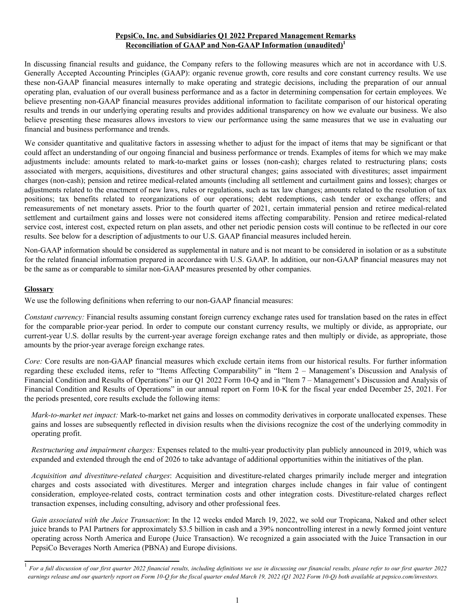## **PepsiCo, Inc. and Subsidiaries Q1 2022 Prepared Management Remarks Reconciliation of GAAP and Non-GAAP Information (unaudited)<sup>1</sup>**

In discussing financial results and guidance, the Company refers to the following measures which are not in accordance with U.S. Generally Accepted Accounting Principles (GAAP): organic revenue growth, core results and core constant currency results. We use these non-GAAP financial measures internally to make operating and strategic decisions, including the preparation of our annual operating plan, evaluation of our overall business performance and as a factor in determining compensation for certain employees. We believe presenting non-GAAP financial measures provides additional information to facilitate comparison of our historical operating results and trends in our underlying operating results and provides additional transparency on how we evaluate our business. We also believe presenting these measures allows investors to view our performance using the same measures that we use in evaluating our financial and business performance and trends.

We consider quantitative and qualitative factors in assessing whether to adjust for the impact of items that may be significant or that could affect an understanding of our ongoing financial and business performance or trends. Examples of items for which we may make adjustments include: amounts related to mark-to-market gains or losses (non-cash); charges related to restructuring plans; costs associated with mergers, acquisitions, divestitures and other structural changes; gains associated with divestitures; asset impairment charges (non-cash); pension and retiree medical-related amounts (including all settlement and curtailment gains and losses); charges or adjustments related to the enactment of new laws, rules or regulations, such as tax law changes; amounts related to the resolution of tax positions; tax benefits related to reorganizations of our operations; debt redemptions, cash tender or exchange offers; and remeasurements of net monetary assets. Prior to the fourth quarter of 2021, certain immaterial pension and retiree medical-related settlement and curtailment gains and losses were not considered items affecting comparability. Pension and retiree medical-related service cost, interest cost, expected return on plan assets, and other net periodic pension costs will continue to be reflected in our core results. See below for a description of adjustments to our U.S. GAAP financial measures included herein.

Non-GAAP information should be considered as supplemental in nature and is not meant to be considered in isolation or as a substitute for the related financial information prepared in accordance with U.S. GAAP. In addition, our non-GAAP financial measures may not be the same as or comparable to similar non-GAAP measures presented by other companies.

### **Glossary**

We use the following definitions when referring to our non-GAAP financial measures:

*Constant currency:* Financial results assuming constant foreign currency exchange rates used for translation based on the rates in effect for the comparable prior-year period. In order to compute our constant currency results, we multiply or divide, as appropriate, our current-year U.S. dollar results by the current-year average foreign exchange rates and then multiply or divide, as appropriate, those amounts by the prior-year average foreign exchange rates.

*Core:* Core results are non-GAAP financial measures which exclude certain items from our historical results. For further information regarding these excluded items, refer to "Items Affecting Comparability" in "Item 2 – Management's Discussion and Analysis of Financial Condition and Results of Operations" in our Q1 2022 Form 10-Q and in "Item 7 – Management's Discussion and Analysis of Financial Condition and Results of Operations" in our annual report on Form 10-K for the fiscal year ended December 25, 2021. For the periods presented, core results exclude the following items:

*Mark-to-market net impact:* Mark-to-market net gains and losses on commodity derivatives in corporate unallocated expenses. These gains and losses are subsequently reflected in division results when the divisions recognize the cost of the underlying commodity in operating profit.

*Restructuring and impairment charges:* Expenses related to the multi-year productivity plan publicly announced in 2019, which was expanded and extended through the end of 2026 to take advantage of additional opportunities within the initiatives of the plan.

*Acquisition and divestiture-related charges*: Acquisition and divestiture-related charges primarily include merger and integration charges and costs associated with divestitures. Merger and integration charges include changes in fair value of contingent consideration, employee-related costs, contract termination costs and other integration costs. Divestiture-related charges reflect transaction expenses, including consulting, advisory and other professional fees.

*Gain associated with the Juice Transaction*: In the 12 weeks ended March 19, 2022, we sold our Tropicana, Naked and other select juice brands to PAI Partners for approximately \$3.5 billion in cash and a 39% noncontrolling interest in a newly formed joint venture operating across North America and Europe (Juice Transaction). We recognized a gain associated with the Juice Transaction in our PepsiCo Beverages North America (PBNA) and Europe divisions.

<sup>&</sup>lt;sup>1</sup> For a full discussion of our first quarter 2022 financial results, including definitions we use in discussing our financial results, please refer to our first quarter 2022 *earnings release and our quarterly report on Form 10-Q for the fiscal quarter ended March 19, 2022 (Q1 2022 Form 10-Q) both available at pepsico.com/investors.*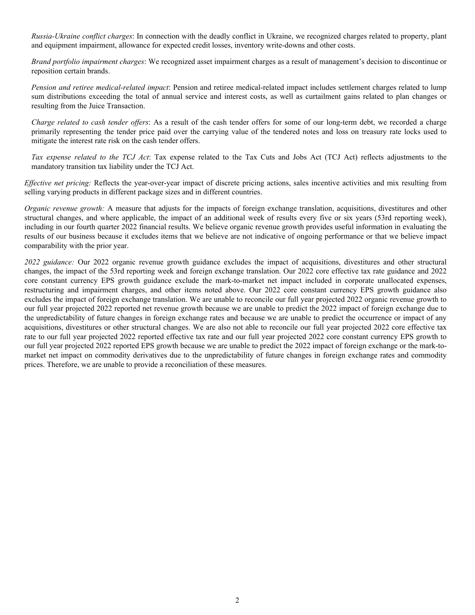*Russia-Ukraine conflict charges*: In connection with the deadly conflict in Ukraine, we recognized charges related to property, plant and equipment impairment, allowance for expected credit losses, inventory write-downs and other costs.

*Brand portfolio impairment charges*: We recognized asset impairment charges as a result of management's decision to discontinue or reposition certain brands.

*Pension and retiree medical-related impact*: Pension and retiree medical-related impact includes settlement charges related to lump sum distributions exceeding the total of annual service and interest costs, as well as curtailment gains related to plan changes or resulting from the Juice Transaction.

*Charge related to cash tender offers*: As a result of the cash tender offers for some of our long-term debt, we recorded a charge primarily representing the tender price paid over the carrying value of the tendered notes and loss on treasury rate locks used to mitigate the interest rate risk on the cash tender offers.

*Tax expense related to the TCJ Act*: Tax expense related to the Tax Cuts and Jobs Act (TCJ Act) reflects adjustments to the mandatory transition tax liability under the TCJ Act.

*Effective net pricing:* Reflects the year-over-year impact of discrete pricing actions, sales incentive activities and mix resulting from selling varying products in different package sizes and in different countries.

*Organic revenue growth:* A measure that adjusts for the impacts of foreign exchange translation, acquisitions, divestitures and other structural changes, and where applicable, the impact of an additional week of results every five or six years (53rd reporting week), including in our fourth quarter 2022 financial results. We believe organic revenue growth provides useful information in evaluating the results of our business because it excludes items that we believe are not indicative of ongoing performance or that we believe impact comparability with the prior year.

*2022 guidance:* Our 2022 organic revenue growth guidance excludes the impact of acquisitions, divestitures and other structural changes, the impact of the 53rd reporting week and foreign exchange translation. Our 2022 core effective tax rate guidance and 2022 core constant currency EPS growth guidance exclude the mark-to-market net impact included in corporate unallocated expenses, restructuring and impairment charges, and other items noted above. Our 2022 core constant currency EPS growth guidance also excludes the impact of foreign exchange translation. We are unable to reconcile our full year projected 2022 organic revenue growth to our full year projected 2022 reported net revenue growth because we are unable to predict the 2022 impact of foreign exchange due to the unpredictability of future changes in foreign exchange rates and because we are unable to predict the occurrence or impact of any acquisitions, divestitures or other structural changes. We are also not able to reconcile our full year projected 2022 core effective tax rate to our full year projected 2022 reported effective tax rate and our full year projected 2022 core constant currency EPS growth to our full year projected 2022 reported EPS growth because we are unable to predict the 2022 impact of foreign exchange or the mark-tomarket net impact on commodity derivatives due to the unpredictability of future changes in foreign exchange rates and commodity prices. Therefore, we are unable to provide a reconciliation of these measures.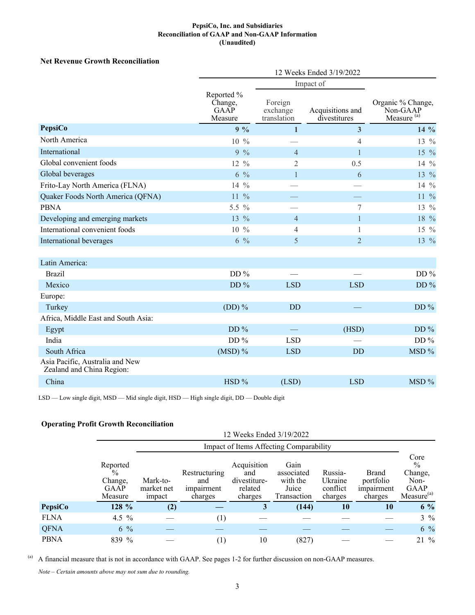#### **PepsiCo, Inc. and Subsidiaries Reconciliation of GAAP and Non-GAAP Information (Unaudited)**

# **Net Revenue Growth Reconciliation**

|                                                              | 12 Weeks Ended 3/19/2022                 |                                    |                                  |                                                         |
|--------------------------------------------------------------|------------------------------------------|------------------------------------|----------------------------------|---------------------------------------------------------|
|                                                              |                                          | Impact of                          |                                  |                                                         |
|                                                              | Reported %<br>Change,<br>GAAP<br>Measure | Foreign<br>exchange<br>translation | Acquisitions and<br>divestitures | Organic % Change,<br>Non-GAAP<br>Measure <sup>(a)</sup> |
| PepsiCo                                                      | $9\%$                                    | $\mathbf{1}$                       | $\overline{\mathbf{3}}$          | $14\%$                                                  |
| North America                                                | $10\frac{9}{6}$                          |                                    | 4                                | 13 %                                                    |
| International                                                | $9\%$                                    | $\overline{4}$                     | $\mathbf{1}$                     | 15 %                                                    |
| Global convenient foods                                      | $12 \frac{9}{6}$                         | $\mathfrak{2}$                     | 0.5                              | 14 $\%$                                                 |
| Global beverages                                             | $6\frac{0}{6}$                           | $\mathbf{1}$                       | 6                                | 13 %                                                    |
| Frito-Lay North America (FLNA)                               | 14 $%$                                   |                                    |                                  | 14 %                                                    |
| Quaker Foods North America (QFNA)                            | $11\%$                                   |                                    |                                  | $11\frac{9}{6}$                                         |
| <b>PBNA</b>                                                  | 5.5 $%$                                  |                                    | 7                                | 13 %                                                    |
| Developing and emerging markets                              | $13\frac{9}{6}$                          | $\overline{4}$                     | $\mathbf{1}$                     | 18 %                                                    |
| International convenient foods                               | $10\%$                                   | $\overline{4}$                     | $\mathbf{1}$                     | 15 %                                                    |
| International beverages                                      | $6\frac{9}{6}$                           | 5                                  | $\overline{2}$                   | 13 %                                                    |
| Latin America:                                               |                                          |                                    |                                  |                                                         |
| <b>Brazil</b>                                                | DD $%$                                   |                                    |                                  | DD $%$                                                  |
| Mexico                                                       | DD $%$                                   | <b>LSD</b>                         | <b>LSD</b>                       | DD $%$                                                  |
| Europe:                                                      |                                          |                                    |                                  |                                                         |
| Turkey                                                       | $(DD)$ %                                 | <b>DD</b>                          |                                  | DD $%$                                                  |
| Africa, Middle East and South Asia:                          |                                          |                                    |                                  |                                                         |
| Egypt                                                        | DD $%$                                   |                                    | (HSD)                            | DD $%$                                                  |
| India                                                        | DD $%$                                   | <b>LSD</b>                         |                                  | DD $%$                                                  |
| South Africa                                                 | $(MSD)$ %                                | <b>LSD</b>                         | <b>DD</b>                        | MSD %                                                   |
| Asia Pacific, Australia and New<br>Zealand and China Region: |                                          |                                    |                                  |                                                         |
| China                                                        | HSD %                                    | (LSD)                              | <b>LSD</b>                       | MSD %                                                   |

LSD — Low single digit, MSD — Mid single digit, HSD — High single digit, DD — Double digit

# **Operating Profit Growth Reconciliation**

|             |                                                       |                                         |                                                      | 12 Weeks Ended 3/19/2022                                 |                                                        |                                           |                                                    |                                                                            |
|-------------|-------------------------------------------------------|-----------------------------------------|------------------------------------------------------|----------------------------------------------------------|--------------------------------------------------------|-------------------------------------------|----------------------------------------------------|----------------------------------------------------------------------------|
|             |                                                       | Impact of Items Affecting Comparability |                                                      |                                                          |                                                        |                                           |                                                    |                                                                            |
|             | Reported<br>$\%$<br>Change,<br><b>GAAP</b><br>Measure | Mark-to-<br>market net<br>impact        | Restructuring<br>and<br><i>impairment</i><br>charges | Acquisition<br>and<br>divestiture-<br>related<br>charges | Gain<br>associated<br>with the<br>Juice<br>Transaction | Russia-<br>Ukraine<br>conflict<br>charges | <b>Brand</b><br>portfolio<br>impairment<br>charges | Core<br>$\frac{0}{0}$<br>Change,<br>Non-<br>GAAP<br>Measure <sup>(a)</sup> |
| PepsiCo     | 128 %                                                 | (2)                                     |                                                      | 3                                                        | (144)                                                  | 10                                        | 10                                                 | $6\%$                                                                      |
| <b>FLNA</b> | 4.5 $\%$                                              |                                         | $\left(1\right)$                                     |                                                          |                                                        |                                           |                                                    | $3\%$                                                                      |
| <b>QFNA</b> | $6\%$                                                 |                                         |                                                      |                                                          |                                                        |                                           |                                                    | $6\%$                                                                      |
| <b>PBNA</b> | 839 %                                                 |                                         | $\left(1\right)$                                     | 10                                                       | (827)                                                  |                                           |                                                    | 21 %                                                                       |

(a) A financial measure that is not in accordance with GAAP. See pages 1-2 for further discussion on non-GAAP measures.

*Note – Certain amounts above may not sum due to rounding.*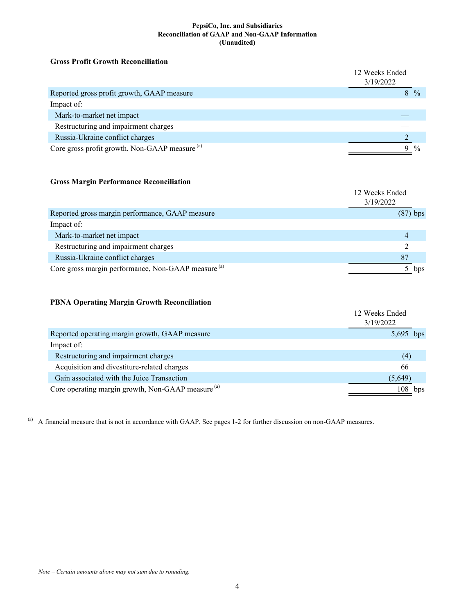#### **PepsiCo, Inc. and Subsidiaries Reconciliation of GAAP and Non-GAAP Information (Unaudited)**

### **Gross Profit Growth Reconciliation**

|                                                           | 12 Weeks Ended<br>3/19/2022 |               |
|-----------------------------------------------------------|-----------------------------|---------------|
| Reported gross profit growth, GAAP measure                |                             | $\frac{0}{0}$ |
| Impact of:                                                |                             |               |
| Mark-to-market net impact                                 |                             |               |
| Restructuring and impairment charges                      |                             |               |
| Russia-Ukraine conflict charges                           |                             |               |
| Core gross profit growth, Non-GAAP measure <sup>(a)</sup> |                             | $\frac{0}{0}$ |

# **Gross Margin Performance Reconciliation**

|                                                                | 12 Weeks Ended<br>3/19/2022 |
|----------------------------------------------------------------|-----------------------------|
| Reported gross margin performance, GAAP measure                | $(87)$ bps                  |
| Impact of:                                                     |                             |
| Mark-to-market net impact                                      | 4                           |
| Restructuring and impairment charges                           |                             |
| Russia-Ukraine conflict charges                                | 87                          |
| Core gross margin performance, Non-GAAP measure <sup>(a)</sup> | bps                         |

# **PBNA Operating Margin Growth Reconciliation**

|                                                               | 12 Weeks Ended<br>3/19/2022 |     |
|---------------------------------------------------------------|-----------------------------|-----|
| Reported operating margin growth, GAAP measure                | 5,695 bps                   |     |
| Impact of:                                                    |                             |     |
| Restructuring and impairment charges                          | (4)                         |     |
| Acquisition and divestiture-related charges                   | 66                          |     |
| Gain associated with the Juice Transaction                    | (5,649)                     |     |
| Core operating margin growth, Non-GAAP measure <sup>(a)</sup> | 108                         | bps |

(a) A financial measure that is not in accordance with GAAP. See pages 1-2 for further discussion on non-GAAP measures.